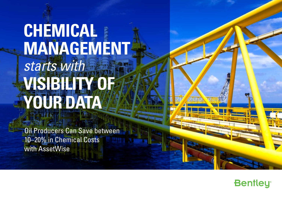# **CHEMICAL MANAGEMENT** *starts with* **VISIBILITY OF YOUR DATA**

Oil Producers Can Save between 10–20% in Chemical Costs with AssetWise

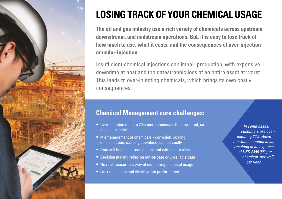

### **LOSING TRACK OF YOUR CHEMICAL USAGE**

**The oil and gas industry use a rich variety of chemicals across upstream, downstream, and midstream operations. But, it is easy to lose track of how much to use, what it costs, and the consequences of over-injection or under-injection.**

Insufficient chemical injections can impair production, with expensive downtime at best and the catastrophic loss of an entire asset at worst. This leads to over-injecting chemicals, which brings its own costly consequences.

#### **Chemical Management core challenges:**

- Over-injection of up to 20% more chemicals than required, so costs can spiral
- Mismanagement of chemicals corrosion, scaling, emulsification, causing downtime, can be costly
- Data still held on spreadsheets, and within data silos
- Decision making relies on out-of-date or unreliable data
- No real measurable way of monitoring chemical usage
- Lack of insights and visibility into performance

*In some cases, customers are overinjecting 20% above the recommended level, resulting in an expense of USD \$350,000 per chemical, per well, per year.*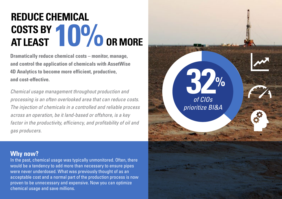### **REDUCE CHEMICAL COSTS BY AT LEAST 10% OR MORE**

**Dramatically reduce chemical costs – monitor, manage, and control the application of chemicals with AssetWise 4D Analytics to become more efficient, productive, and cost-effective.** 

*Chemical usage management throughout production and processing is an often overlooked area that can reduce costs. The injection of chemicals in a controlled and reliable process across an operation, be it land-based or offshore, is a key factor in the productivity, efficiency, and profitability of oil and gas producers.*

#### **Why now?**

In the past, chemical usage was typically unmonitored. Often, there would be a tendency to add more than necessary to ensure pipes were never underdosed. What was previously thought of as an acceptable cost and a normal part of the production process is now proven to be unnecessary and expensive. Now you can optimize chemical usage and save millions.

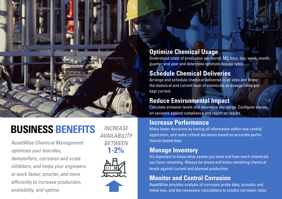### **BUSINESS BENEFITS**

*AssetWise Chemical Management optimizes your biocides, demulsifiers, corrosion and scale inhibitors, and helps your engineers to work faster, smarter, and more efficiently to increase production, availability, and uptime.*

*INCREASE AVAILABILITY BETWEEN* **1-2%**



#### **Optimize Chemical Usage**

Understand costs of production per barrel, M3, hour, day, week, month, quarter, and year and determine optimum dosage rates.

### **Schedule Chemical Deliveries**

Arrange and schedule chemical deliveries to all sites and know the historical and current level of chemicals so dosage rates are kept current.

#### **Reduce Environmental Impact**

Calculate emission levels and determine discharge. Configure alarms on variance against compliance and report on results.

#### **Increase Performance**

Make faster decisions by having all information within one central application, and make critical decisions based on accurate performance-based data.

#### **Manage Inventory**

It's important to know what assets you have and how much chemicals you have remaining. Always be ahead and know remaining chemical levels against current and planned production.

#### **Monitor and Control Corrosion**

AssetWise provides analysis of corrosion probe data, acoustic and metal loss, and the necessary calculations to predict corrosion rates.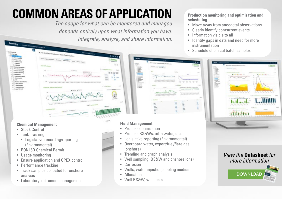## **COMMON AREAS OF APPLICATION**

*The scope for what can be monitored and managed depends entirely upon what information you have. Integrate, analyze, and share information.* 

**Production monitoring and optimization and scheduling**

- Move away from anecdotal observations
- Clearly identify concurrent events
- Information visible to all
- Identify gaps in data and need for more instrumentation
- Schedule chemical batch samples



#### *View the* **Datasheet** *for more information*





#### **Chemical Management**

• Stock Control

Bentley

- Tank Tracking
	- Legislative recording/reporting (Environmental)
- PON15D Chemical Permit
- Usage monitoring
- Ensure application and OPEX control
- Performance tracking
- Track samples collected for onshore analysis
- Laboratory instrument management

#### **Fluid Management**

- Process optimization
- Process BS&Ws, oil in water, etc.
- Legislative reporting (Environmental)
- Overboard water, export/fuel/flare gas (onshore)
- Trending and graph analysis
- Well sampling (BS&W and onshore ions)
- Corrosion
- Wells, water injection, cooling medium
- Allocation
- Well BS&W, well tests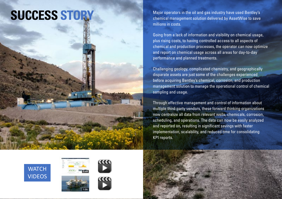**SUCCESS STORY** Major operators in the oil and gas industry have used Bentley's chemical management solution delivered by AssetWise to save chemical management solution delivered by AssetWise to save millions in costs.

> Going from a lack of information and visibility on chemical usage, plus rising costs, to having controlled access to all aspects of chemical and production processes, the operator can now optimize and report on chemical usage across all areas for day-to-day performance and planned treatments.

Challenging geology, complicated chemistry, and geographically disparate assets are just some of the challenges experienced before acquiring Bentley's chemical, corrosion, and production management solution to manage the operational control of chemical sampling and usage.

Through effective management and control of information about multiple third-party vendors, these forward thinking organizations now centralize all data from relevant wells, chemicals, corrosion, scheduling, and operations. The data can now be easily analyzed and reported on, resulting in significant savings with faster implementation, scalability, and reduced time for consolidating KPI reports.